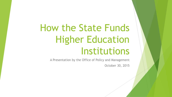# How the State Funds Higher Education Institutions

A Presentation by the Office of Policy and Management October 30, 2015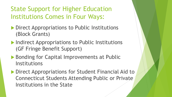#### State Support for Higher Education Institutions Comes in Four Ways:

- **Direct Appropriations to Public Institutions** (Block Grants)
- **Indirect Appropriations to Public Institutions** (GF Fringe Benefit Support)
- ▶ Bonding for Capital Improvements at Public Institutions
- **Direct Appropriations for Student Financial Aid to** Connecticut Students Attending Public or Private Institutions in the State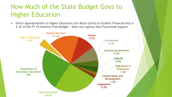## How Much of the State Budget Goes to Higher Education

 Direct Appropriations to Higher Education (for Block Grants & Student Financial Aid) is 4.3% of the FY 16 General Fund Budget – Does not capture Non-Functional Support

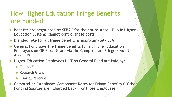#### How Higher Education Fringe Benefits are Funded

- Benefits are negotiated by SEBAC for the entire state Public Higher Education Systems cannot control these costs
- Blended rate for all fringe benefits is approximately 80%
- General Fund pays the fringe benefits for all Higher Education Employees on GF Block Grant via the Comptrollers Fringe Benefit **Accounts**
- Higher Education Employees NOT on General Fund are Paid by:
	- **Tuition Fund**
	- **Research Grant**
	- ▶ Clinical Revenue
- Comptroller Establishes Component Rates for Fringe Benefits & Other Funding Sources are "Charged Back" for those Employees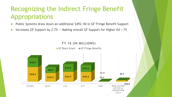#### Recognizing the Indirect Fringe Benefit Appropriations

Public Systems draw down an additional \$492.1M in GF Fringe Benefit Support

Increases GF Support by 2.7% -- Making overall GF Support for Higher Ed = 7%

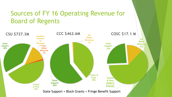#### Sources of FY 16 Operating Revenue for Board of Regents

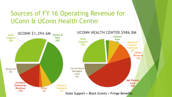#### Sources of FY 16 Operating Revenue for UConn & UConn Health Center

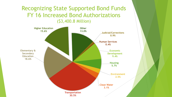#### Recognizing State Supported Bond Funds FY 16 Increased Bond Authorizations (\$3,400.8 Million)

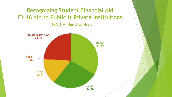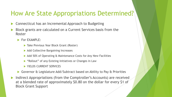#### How Are State Appropriations Determined?

- Connecticut has an Incremental Approach to Budgeting
- Block grants are calculated on a Current Services basis from the Roster
	- For EXAMPLE:
		- ▶ Take Previous Year Block Grant (Roster)
		- ▶ Add Collective Bargaining Increases
		- ▶ Add 50% of Operating & Maintenance Costs for Any New Facilities
		- "Rollout" of any Existing Initiatives or Changes in Law
		- YIELDS CURRENT SERVICES
	- ▶ Governor & Legislature Add/Subtract based on Ability to Pay & Priorities
- Indirect Appropriations (from the Comptroller's Accounts) are received at a blended rate of approximately \$0.80 on the dollar for every \$1 of Block Grant Support